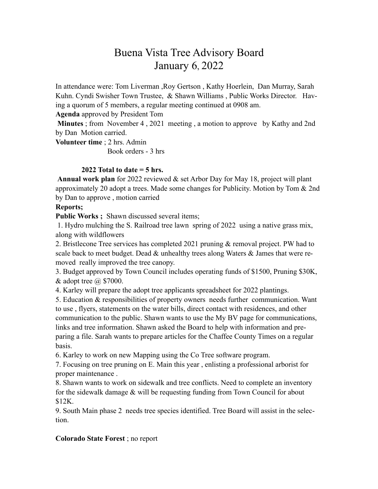# Buena Vista Tree Advisory Board January 6, 2022

In attendance were: Tom Liverman ,Roy Gertson , Kathy Hoerlein, Dan Murray, Sarah Kuhn. Cyndi Swisher Town Trustee, & Shawn Williams , Public Works Director. Having a quorum of 5 members, a regular meeting continued at 0908 am.

**Agenda** approved by President Tom

**Minutes** ; from November 4 , 2021 meeting , a motion to approve by Kathy and 2nd by Dan Motion carried.

**Volunteer time** ; 2 hrs. Admin

Book orders - 3 hrs

# **2022 Total to date = 5 hrs.**

**Annual work plan** for 2022 reviewed & set Arbor Day for May 18, project will plant approximately 20 adopt a trees. Made some changes for Publicity. Motion by Tom & 2nd by Dan to approve , motion carried

#### **Reports;**

Public Works ; Shawn discussed several items;

 1. Hydro mulching the S. Railroad tree lawn spring of 2022 using a native grass mix, along with wildflowers

2. Bristlecone Tree services has completed 2021 pruning & removal project. PW had to scale back to meet budget. Dead  $\&$  unhealthy trees along Waters  $\&$  James that were removed really improved the tree canopy.

3. Budget approved by Town Council includes operating funds of \$1500, Pruning \$30K,  $&$  adopt tree  $@$  \$7000.

4. Karley will prepare the adopt tree applicants spreadsheet for 2022 plantings.

5. Education & responsibilities of property owners needs further communication. Want to use , flyers, statements on the water bills, direct contact with residences, and other communication to the public. Shawn wants to use the My BV page for communications, links and tree information. Shawn asked the Board to help with information and preparing a file. Sarah wants to prepare articles for the Chaffee County Times on a regular basis.

6. Karley to work on new Mapping using the Co Tree software program.

7. Focusing on tree pruning on E. Main this year , enlisting a professional arborist for proper maintenance .

8. Shawn wants to work on sidewalk and tree conflicts. Need to complete an inventory for the sidewalk damage & will be requesting funding from Town Council for about \$12K.

9. South Main phase 2 needs tree species identified. Tree Board will assist in the selection.

# **Colorado State Forest** ; no report